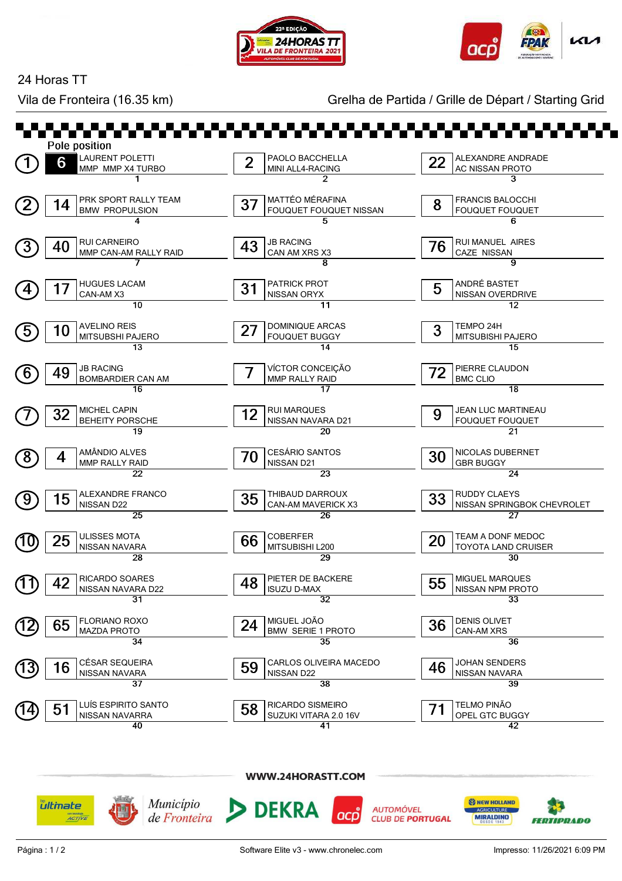



24 Horas TT

Vila de Fronteira (16.35 km) Grelha de Partida / Grille de Départ / Starting Grid